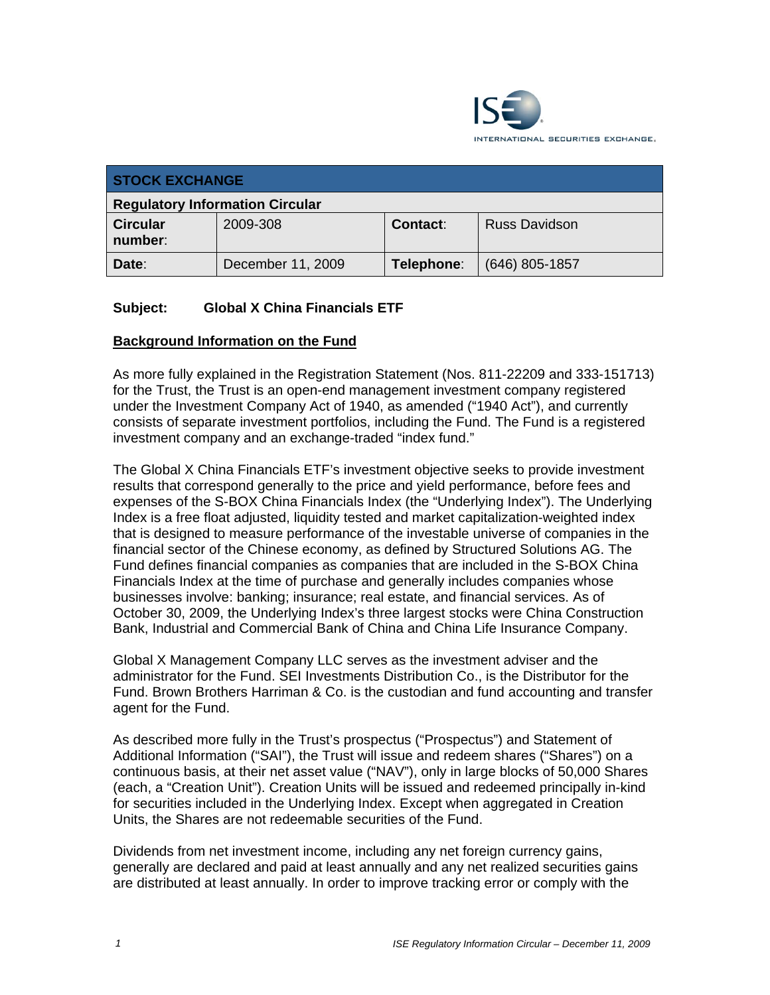

| <b>STOCK EXCHANGE</b>                  |                   |                 |                      |  |  |
|----------------------------------------|-------------------|-----------------|----------------------|--|--|
| <b>Regulatory Information Circular</b> |                   |                 |                      |  |  |
| <b>Circular</b><br>number:             | 2009-308          | <b>Contact:</b> | <b>Russ Davidson</b> |  |  |
| Date:                                  | December 11, 2009 | Telephone:      | $(646)$ 805-1857     |  |  |

# **Subject: Global X China Financials ETF**

## **Background Information on the Fund**

As more fully explained in the Registration Statement (Nos. 811-22209 and 333-151713) for the Trust, the Trust is an open-end management investment company registered under the Investment Company Act of 1940, as amended ("1940 Act"), and currently consists of separate investment portfolios, including the Fund. The Fund is a registered investment company and an exchange-traded "index fund."

The Global X China Financials ETF's investment objective seeks to provide investment results that correspond generally to the price and yield performance, before fees and expenses of the S-BOX China Financials Index (the "Underlying Index"). The Underlying Index is a free float adjusted, liquidity tested and market capitalization-weighted index that is designed to measure performance of the investable universe of companies in the financial sector of the Chinese economy, as defined by Structured Solutions AG. The Fund defines financial companies as companies that are included in the S-BOX China Financials Index at the time of purchase and generally includes companies whose businesses involve: banking; insurance; real estate, and financial services. As of October 30, 2009, the Underlying Index's three largest stocks were China Construction Bank, Industrial and Commercial Bank of China and China Life Insurance Company.

Global X Management Company LLC serves as the investment adviser and the administrator for the Fund. SEI Investments Distribution Co., is the Distributor for the Fund. Brown Brothers Harriman & Co. is the custodian and fund accounting and transfer agent for the Fund.

As described more fully in the Trust's prospectus ("Prospectus") and Statement of Additional Information ("SAI"), the Trust will issue and redeem shares ("Shares") on a continuous basis, at their net asset value ("NAV"), only in large blocks of 50,000 Shares (each, a "Creation Unit"). Creation Units will be issued and redeemed principally in-kind for securities included in the Underlying Index. Except when aggregated in Creation Units, the Shares are not redeemable securities of the Fund.

Dividends from net investment income, including any net foreign currency gains, generally are declared and paid at least annually and any net realized securities gains are distributed at least annually. In order to improve tracking error or comply with the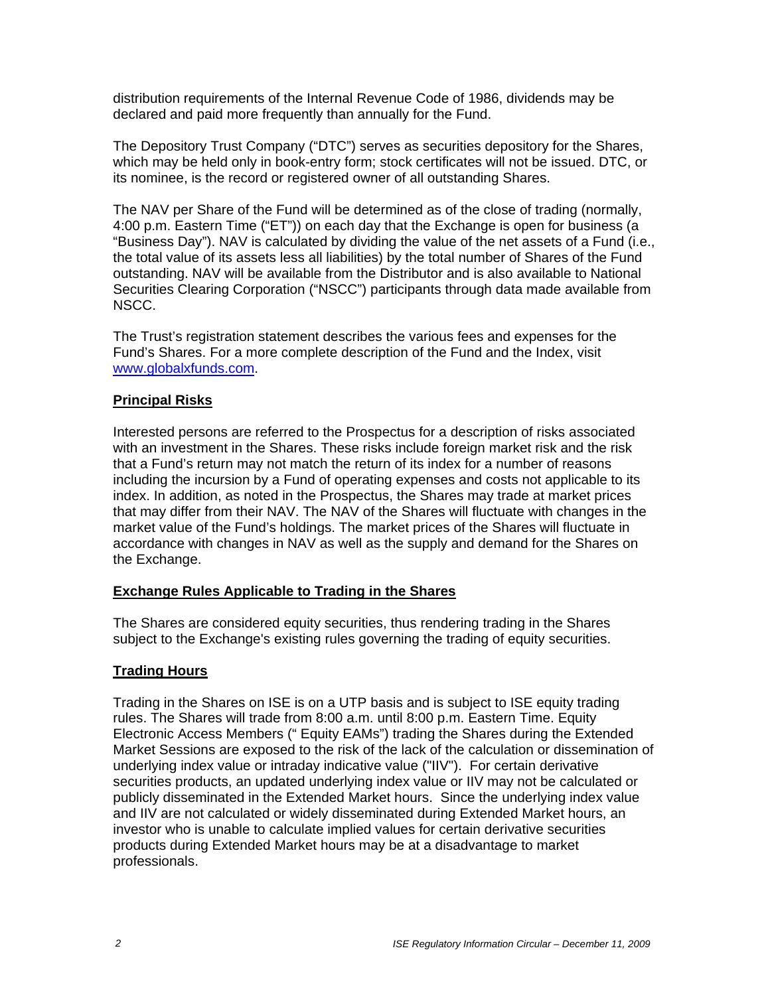distribution requirements of the Internal Revenue Code of 1986, dividends may be declared and paid more frequently than annually for the Fund.

The Depository Trust Company ("DTC") serves as securities depository for the Shares, which may be held only in book-entry form; stock certificates will not be issued. DTC, or its nominee, is the record or registered owner of all outstanding Shares.

The NAV per Share of the Fund will be determined as of the close of trading (normally, 4:00 p.m. Eastern Time ("ET")) on each day that the Exchange is open for business (a "Business Day"). NAV is calculated by dividing the value of the net assets of a Fund (i.e., the total value of its assets less all liabilities) by the total number of Shares of the Fund outstanding. NAV will be available from the Distributor and is also available to National Securities Clearing Corporation ("NSCC") participants through data made available from NSCC.

The Trust's registration statement describes the various fees and expenses for the Fund's Shares. For a more complete description of the Fund and the Index, visit www.globalxfunds.com.

#### **Principal Risks**

Interested persons are referred to the Prospectus for a description of risks associated with an investment in the Shares. These risks include foreign market risk and the risk that a Fund's return may not match the return of its index for a number of reasons including the incursion by a Fund of operating expenses and costs not applicable to its index. In addition, as noted in the Prospectus, the Shares may trade at market prices that may differ from their NAV. The NAV of the Shares will fluctuate with changes in the market value of the Fund's holdings. The market prices of the Shares will fluctuate in accordance with changes in NAV as well as the supply and demand for the Shares on the Exchange.

#### **Exchange Rules Applicable to Trading in the Shares**

The Shares are considered equity securities, thus rendering trading in the Shares subject to the Exchange's existing rules governing the trading of equity securities.

#### **Trading Hours**

Trading in the Shares on ISE is on a UTP basis and is subject to ISE equity trading rules. The Shares will trade from 8:00 a.m. until 8:00 p.m. Eastern Time. Equity Electronic Access Members (" Equity EAMs") trading the Shares during the Extended Market Sessions are exposed to the risk of the lack of the calculation or dissemination of underlying index value or intraday indicative value ("IIV"). For certain derivative securities products, an updated underlying index value or IIV may not be calculated or publicly disseminated in the Extended Market hours. Since the underlying index value and IIV are not calculated or widely disseminated during Extended Market hours, an investor who is unable to calculate implied values for certain derivative securities products during Extended Market hours may be at a disadvantage to market professionals.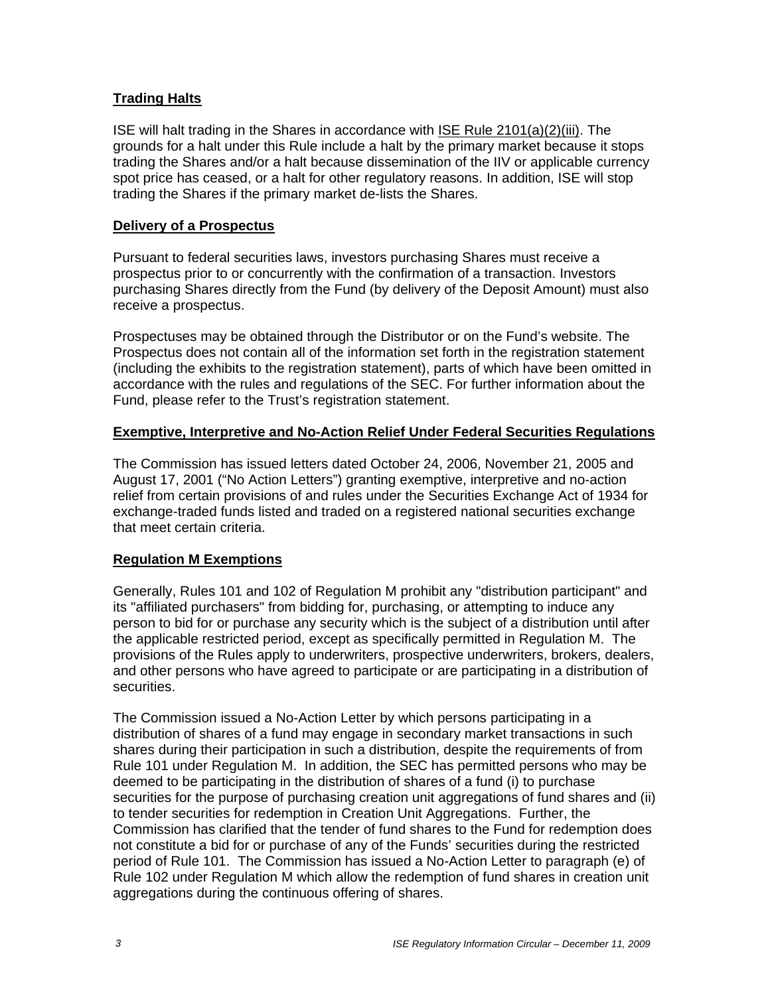# **Trading Halts**

ISE will halt trading in the Shares in accordance with ISE Rule 2101(a)(2)(iii). The grounds for a halt under this Rule include a halt by the primary market because it stops trading the Shares and/or a halt because dissemination of the IIV or applicable currency spot price has ceased, or a halt for other regulatory reasons. In addition, ISE will stop trading the Shares if the primary market de-lists the Shares.

#### **Delivery of a Prospectus**

Pursuant to federal securities laws, investors purchasing Shares must receive a prospectus prior to or concurrently with the confirmation of a transaction. Investors purchasing Shares directly from the Fund (by delivery of the Deposit Amount) must also receive a prospectus.

Prospectuses may be obtained through the Distributor or on the Fund's website. The Prospectus does not contain all of the information set forth in the registration statement (including the exhibits to the registration statement), parts of which have been omitted in accordance with the rules and regulations of the SEC. For further information about the Fund, please refer to the Trust's registration statement.

## **Exemptive, Interpretive and No-Action Relief Under Federal Securities Regulations**

The Commission has issued letters dated October 24, 2006, November 21, 2005 and August 17, 2001 ("No Action Letters") granting exemptive, interpretive and no-action relief from certain provisions of and rules under the Securities Exchange Act of 1934 for exchange-traded funds listed and traded on a registered national securities exchange that meet certain criteria.

## **Regulation M Exemptions**

Generally, Rules 101 and 102 of Regulation M prohibit any "distribution participant" and its "affiliated purchasers" from bidding for, purchasing, or attempting to induce any person to bid for or purchase any security which is the subject of a distribution until after the applicable restricted period, except as specifically permitted in Regulation M. The provisions of the Rules apply to underwriters, prospective underwriters, brokers, dealers, and other persons who have agreed to participate or are participating in a distribution of securities.

The Commission issued a No-Action Letter by which persons participating in a distribution of shares of a fund may engage in secondary market transactions in such shares during their participation in such a distribution, despite the requirements of from Rule 101 under Regulation M. In addition, the SEC has permitted persons who may be deemed to be participating in the distribution of shares of a fund (i) to purchase securities for the purpose of purchasing creation unit aggregations of fund shares and (ii) to tender securities for redemption in Creation Unit Aggregations. Further, the Commission has clarified that the tender of fund shares to the Fund for redemption does not constitute a bid for or purchase of any of the Funds' securities during the restricted period of Rule 101. The Commission has issued a No-Action Letter to paragraph (e) of Rule 102 under Regulation M which allow the redemption of fund shares in creation unit aggregations during the continuous offering of shares.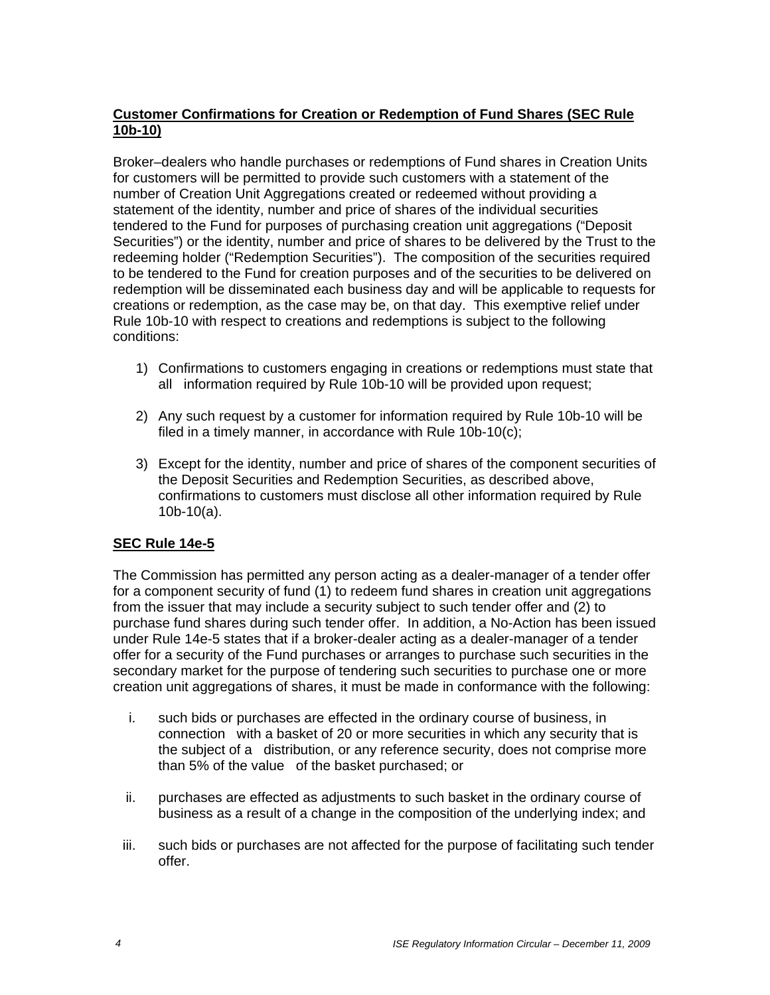# **Customer Confirmations for Creation or Redemption of Fund Shares (SEC Rule 10b-10)**

Broker–dealers who handle purchases or redemptions of Fund shares in Creation Units for customers will be permitted to provide such customers with a statement of the number of Creation Unit Aggregations created or redeemed without providing a statement of the identity, number and price of shares of the individual securities tendered to the Fund for purposes of purchasing creation unit aggregations ("Deposit Securities") or the identity, number and price of shares to be delivered by the Trust to the redeeming holder ("Redemption Securities"). The composition of the securities required to be tendered to the Fund for creation purposes and of the securities to be delivered on redemption will be disseminated each business day and will be applicable to requests for creations or redemption, as the case may be, on that day. This exemptive relief under Rule 10b-10 with respect to creations and redemptions is subject to the following conditions:

- 1) Confirmations to customers engaging in creations or redemptions must state that all information required by Rule 10b-10 will be provided upon request;
- 2) Any such request by a customer for information required by Rule 10b-10 will be filed in a timely manner, in accordance with Rule 10b-10(c);
- 3) Except for the identity, number and price of shares of the component securities of the Deposit Securities and Redemption Securities, as described above, confirmations to customers must disclose all other information required by Rule 10b-10(a).

# **SEC Rule 14e-5**

The Commission has permitted any person acting as a dealer-manager of a tender offer for a component security of fund (1) to redeem fund shares in creation unit aggregations from the issuer that may include a security subject to such tender offer and (2) to purchase fund shares during such tender offer. In addition, a No-Action has been issued under Rule 14e-5 states that if a broker-dealer acting as a dealer-manager of a tender offer for a security of the Fund purchases or arranges to purchase such securities in the secondary market for the purpose of tendering such securities to purchase one or more creation unit aggregations of shares, it must be made in conformance with the following:

- i. such bids or purchases are effected in the ordinary course of business, in connection with a basket of 20 or more securities in which any security that is the subject of a distribution, or any reference security, does not comprise more than 5% of the value of the basket purchased; or
- ii. purchases are effected as adjustments to such basket in the ordinary course of business as a result of a change in the composition of the underlying index; and
- iii. such bids or purchases are not affected for the purpose of facilitating such tender offer.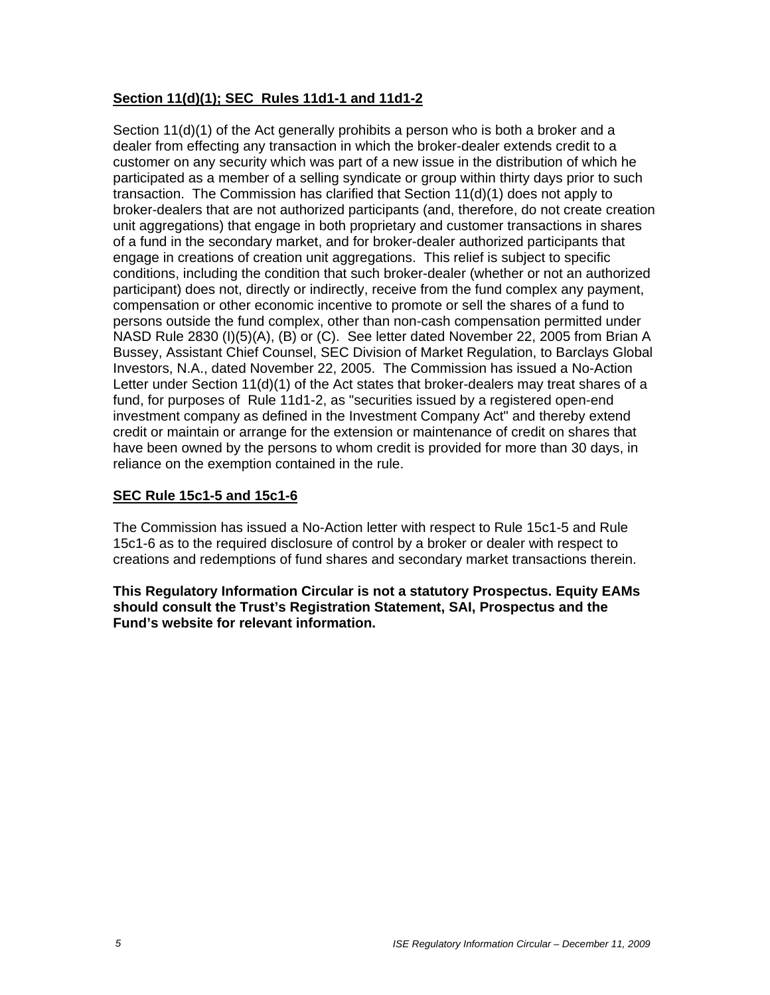# **Section 11(d)(1); SEC Rules 11d1-1 and 11d1-2**

Section 11(d)(1) of the Act generally prohibits a person who is both a broker and a dealer from effecting any transaction in which the broker-dealer extends credit to a customer on any security which was part of a new issue in the distribution of which he participated as a member of a selling syndicate or group within thirty days prior to such transaction. The Commission has clarified that Section 11(d)(1) does not apply to broker-dealers that are not authorized participants (and, therefore, do not create creation unit aggregations) that engage in both proprietary and customer transactions in shares of a fund in the secondary market, and for broker-dealer authorized participants that engage in creations of creation unit aggregations. This relief is subject to specific conditions, including the condition that such broker-dealer (whether or not an authorized participant) does not, directly or indirectly, receive from the fund complex any payment, compensation or other economic incentive to promote or sell the shares of a fund to persons outside the fund complex, other than non-cash compensation permitted under NASD Rule 2830 (I)(5)(A), (B) or (C). See letter dated November 22, 2005 from Brian A Bussey, Assistant Chief Counsel, SEC Division of Market Regulation, to Barclays Global Investors, N.A., dated November 22, 2005. The Commission has issued a No-Action Letter under Section 11(d)(1) of the Act states that broker-dealers may treat shares of a fund, for purposes of Rule 11d1-2, as "securities issued by a registered open-end investment company as defined in the Investment Company Act" and thereby extend credit or maintain or arrange for the extension or maintenance of credit on shares that have been owned by the persons to whom credit is provided for more than 30 days, in reliance on the exemption contained in the rule.

## **SEC Rule 15c1-5 and 15c1-6**

The Commission has issued a No-Action letter with respect to Rule 15c1-5 and Rule 15c1-6 as to the required disclosure of control by a broker or dealer with respect to creations and redemptions of fund shares and secondary market transactions therein.

**This Regulatory Information Circular is not a statutory Prospectus. Equity EAMs should consult the Trust's Registration Statement, SAI, Prospectus and the Fund's website for relevant information.**